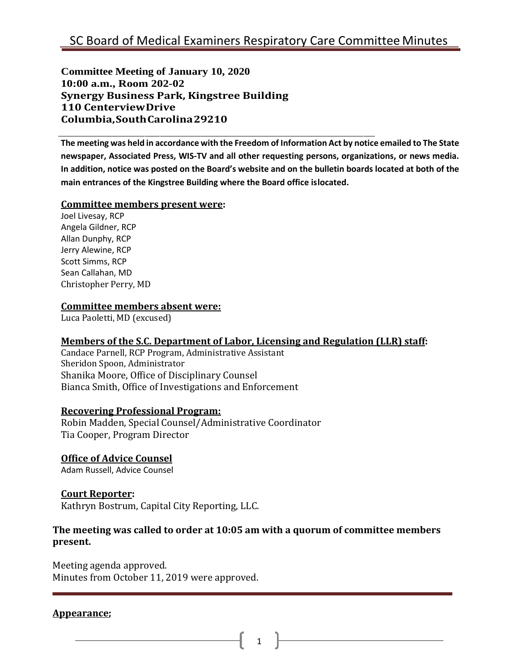**Committee Meeting of January 10, 2020 10:00 a.m., Room 202-02 Synergy Business Park, Kingstree Building 110 CenterviewDrive Columbia,SouthCarolina29210**

**The meeting was held in accordance with the Freedom of Information Act by notice emailed to The State newspaper, Associated Press, WIS-TV and all other requesting persons, organizations, or news media. In addition, notice was posted on the Board's website and on the bulletin boards located at both of the main entrances of the Kingstree Building where the Board office islocated.**

#### **Committee members present were:**

Joel Livesay, RCP Angela Gildner, RCP Allan Dunphy, RCP Jerry Alewine, RCP Scott Simms, RCP Sean Callahan, MD Christopher Perry, MD

### **Committee members absent were:**

Luca Paoletti, MD (excused)

### **Members of the S.C. Department of Labor, Licensing and Regulation (LLR) staff:**

Candace Parnell, RCP Program, Administrative Assistant Sheridon Spoon, Administrator Shanika Moore, Office of Disciplinary Counsel Bianca Smith, Office of Investigations and Enforcement

### **Recovering Professional Program:**

Robin Madden, Special Counsel/Administrative Coordinator Tia Cooper, Program Director

**Office of Advice Counsel**

Adam Russell, Advice Counsel

### **Court Reporter:**

Kathryn Bostrum, Capital City Reporting, LLC.

## **The meeting was called to order at 10:05 am with a quorum of committee members present.**

Meeting agenda approved. Minutes from October 11, 2019 were approved.

### **Appearance;**

1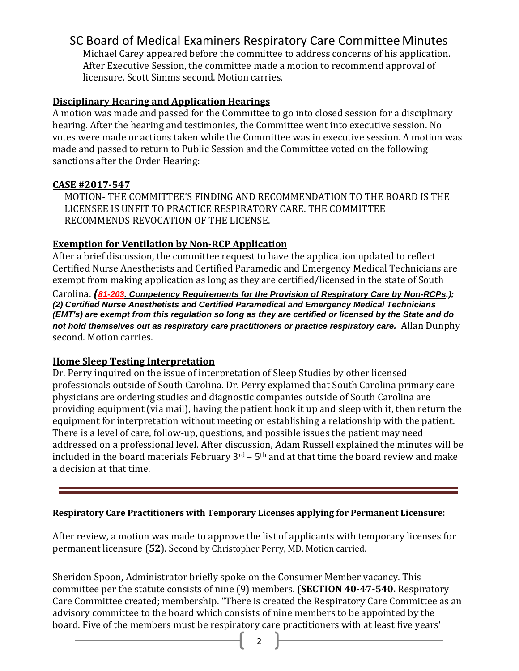## SC Board of Medical Examiners Respiratory Care Committee Minutes

Michael Carey appeared before the committee to address concerns of his application. After Executive Session, the committee made a motion to recommend approval of licensure. Scott Simms second. Motion carries.

## **Disciplinary Hearing and Application Hearings**

A motion was made and passed for the Committee to go into closed session for a disciplinary hearing. After the hearing and testimonies, the Committee went into executive session. No votes were made or actions taken while the Committee was in executive session. A motion was made and passed to return to Public Session and the Committee voted on the following sanctions after the Order Hearing:

## **CASE #2017-547**

MOTION- THE COMMITTEE'S FINDING AND RECOMMENDATION TO THE BOARD IS THE LICENSEE IS UNFIT TO PRACTICE RESPIRATORY CARE. THE COMMITTEE RECOMMENDS REVOCATION OF THE LICENSE.

## **Exemption for Ventilation by Non-RCP Application**

After a brief discussion, the committee request to have the application updated to reflect Certified Nurse Anesthetists and Certified Paramedic and Emergency Medical Technicians are exempt from making application as long as they are certified/licensed in the state of South

Carolina. *(81-203. Competency Requirements for the Provision of Respiratory Care by Non-RCPs.); (2) Certified Nurse Anesthetists and Certified Paramedical and Emergency Medical Technicians (EMT's) are exempt from this regulation so long as they are certified or licensed by the State and do not hold themselves out as respiratory care practitioners or practice respiratory care.* Allan Dunphy second. Motion carries.

## **Home Sleep Testing Interpretation**

Dr. Perry inquired on the issue of interpretation of Sleep Studies by other licensed professionals outside of South Carolina. Dr. Perry explained that South Carolina primary care physicians are ordering studies and diagnostic companies outside of South Carolina are providing equipment (via mail), having the patient hook it up and sleep with it, then return the equipment for interpretation without meeting or establishing a relationship with the patient. There is a level of care, follow-up, questions, and possible issues the patient may need addressed on a professional level. After discussion, Adam Russell explained the minutes will be included in the board materials February  $3<sup>rd</sup>$  – 5<sup>th</sup> and at that time the board review and make a decision at that time.

## **Respiratory Care Practitioners with Temporary Licenses applying for Permanent Licensure**:

After review, a motion was made to approve the list of applicants with temporary licenses for permanent licensure (**52**). Second by Christopher Perry, MD. Motion carried.

Sheridon Spoon, Administrator briefly spoke on the Consumer Member vacancy. This committee per the statute consists of nine (9) members. (**SECTION 40-47-540.** Respiratory Care Committee created; membership. "There is created the Respiratory Care Committee as an advisory committee to the board which consists of nine members to be appointed by the board. Five of the members must be respiratory care practitioners with at least five years'

 $\overline{\mathbf{c}}$